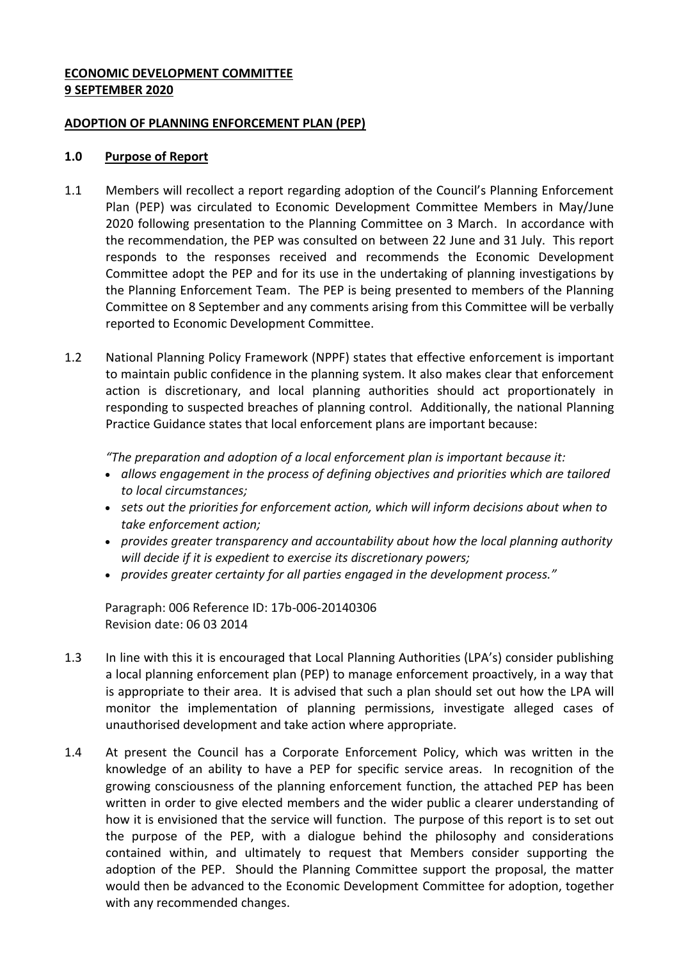## **ECONOMIC DEVELOPMENT COMMITTEE 9 SEPTEMBER 2020**

### **ADOPTION OF PLANNING ENFORCEMENT PLAN (PEP)**

### **1.0 Purpose of Report**

- 1.1 Members will recollect a report regarding adoption of the Council's Planning Enforcement Plan (PEP) was circulated to Economic Development Committee Members in May/June 2020 following presentation to the Planning Committee on 3 March. In accordance with the recommendation, the PEP was consulted on between 22 June and 31 July. This report responds to the responses received and recommends the Economic Development Committee adopt the PEP and for its use in the undertaking of planning investigations by the Planning Enforcement Team. The PEP is being presented to members of the Planning Committee on 8 September and any comments arising from this Committee will be verbally reported to Economic Development Committee.
- 1.2 National Planning Policy Framework (NPPF) states that effective enforcement is important to maintain public confidence in the planning system. It also makes clear that enforcement action is discretionary, and local planning authorities should act proportionately in responding to suspected breaches of planning control. Additionally, the national Planning Practice Guidance states that local enforcement plans are important because:

*"The preparation and adoption of a local enforcement plan is important because it:*

- *allows engagement in the process of defining objectives and priorities which are tailored to local circumstances;*
- *sets out the priorities for enforcement action, which will inform decisions about when to take enforcement action;*
- *provides greater transparency and accountability about how the local planning authority will decide if it is expedient to exercise its discretionary powers;*
- *provides greater certainty for all parties engaged in the development process."*

Paragraph: 006 Reference ID: 17b-006-20140306 Revision date: 06 03 2014

- 1.3 In line with this it is encouraged that Local Planning Authorities (LPA's) consider publishing a local planning enforcement plan (PEP) to manage enforcement proactively, in a way that is appropriate to their area. It is advised that such a plan should set out how the LPA will monitor the implementation of planning permissions, investigate alleged cases of unauthorised development and take action where appropriate.
- 1.4 At present the Council has a Corporate Enforcement Policy, which was written in the knowledge of an ability to have a PEP for specific service areas. In recognition of the growing consciousness of the planning enforcement function, the attached PEP has been written in order to give elected members and the wider public a clearer understanding of how it is envisioned that the service will function. The purpose of this report is to set out the purpose of the PEP, with a dialogue behind the philosophy and considerations contained within, and ultimately to request that Members consider supporting the adoption of the PEP. Should the Planning Committee support the proposal, the matter would then be advanced to the Economic Development Committee for adoption, together with any recommended changes.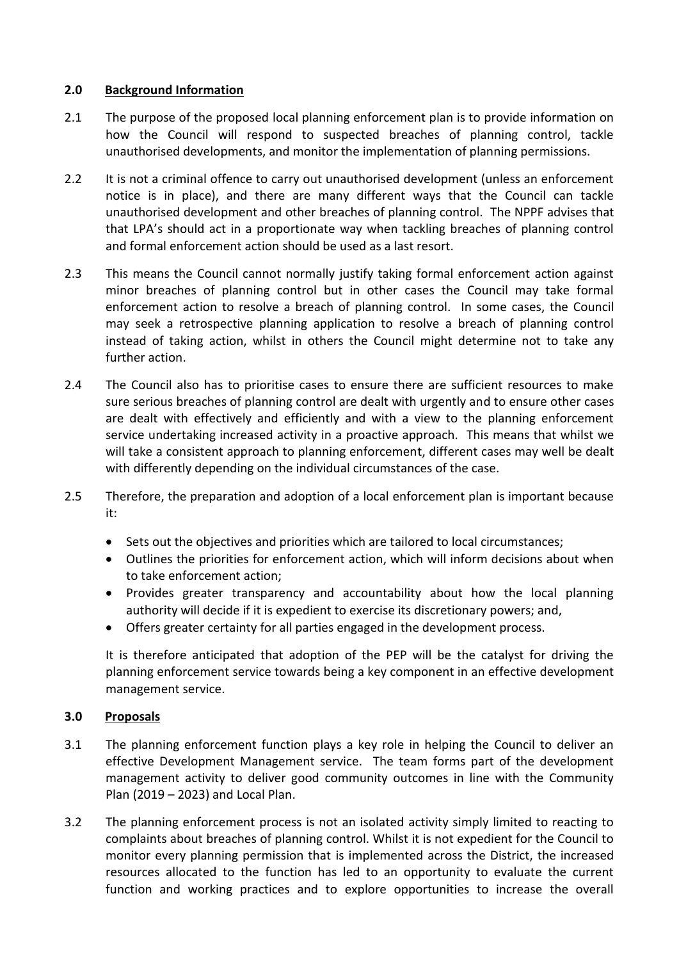## **2.0 Background Information**

- 2.1 The purpose of the proposed local planning enforcement plan is to provide information on how the Council will respond to suspected breaches of planning control, tackle unauthorised developments, and monitor the implementation of planning permissions.
- 2.2 It is not a criminal offence to carry out unauthorised development (unless an enforcement notice is in place), and there are many different ways that the Council can tackle unauthorised development and other breaches of planning control. The NPPF advises that that LPA's should act in a proportionate way when tackling breaches of planning control and formal enforcement action should be used as a last resort.
- 2.3 This means the Council cannot normally justify taking formal enforcement action against minor breaches of planning control but in other cases the Council may take formal enforcement action to resolve a breach of planning control. In some cases, the Council may seek a retrospective planning application to resolve a breach of planning control instead of taking action, whilst in others the Council might determine not to take any further action.
- 2.4 The Council also has to prioritise cases to ensure there are sufficient resources to make sure serious breaches of planning control are dealt with urgently and to ensure other cases are dealt with effectively and efficiently and with a view to the planning enforcement service undertaking increased activity in a proactive approach. This means that whilst we will take a consistent approach to planning enforcement, different cases may well be dealt with differently depending on the individual circumstances of the case.
- 2.5 Therefore, the preparation and adoption of a local enforcement plan is important because it:
	- Sets out the objectives and priorities which are tailored to local circumstances;
	- Outlines the priorities for enforcement action, which will inform decisions about when to take enforcement action;
	- Provides greater transparency and accountability about how the local planning authority will decide if it is expedient to exercise its discretionary powers; and,
	- Offers greater certainty for all parties engaged in the development process.

It is therefore anticipated that adoption of the PEP will be the catalyst for driving the planning enforcement service towards being a key component in an effective development management service.

# **3.0 Proposals**

- 3.1 The planning enforcement function plays a key role in helping the Council to deliver an effective Development Management service. The team forms part of the development management activity to deliver good community outcomes in line with the Community Plan (2019 – 2023) and Local Plan.
- 3.2 The planning enforcement process is not an isolated activity simply limited to reacting to complaints about breaches of planning control. Whilst it is not expedient for the Council to monitor every planning permission that is implemented across the District, the increased resources allocated to the function has led to an opportunity to evaluate the current function and working practices and to explore opportunities to increase the overall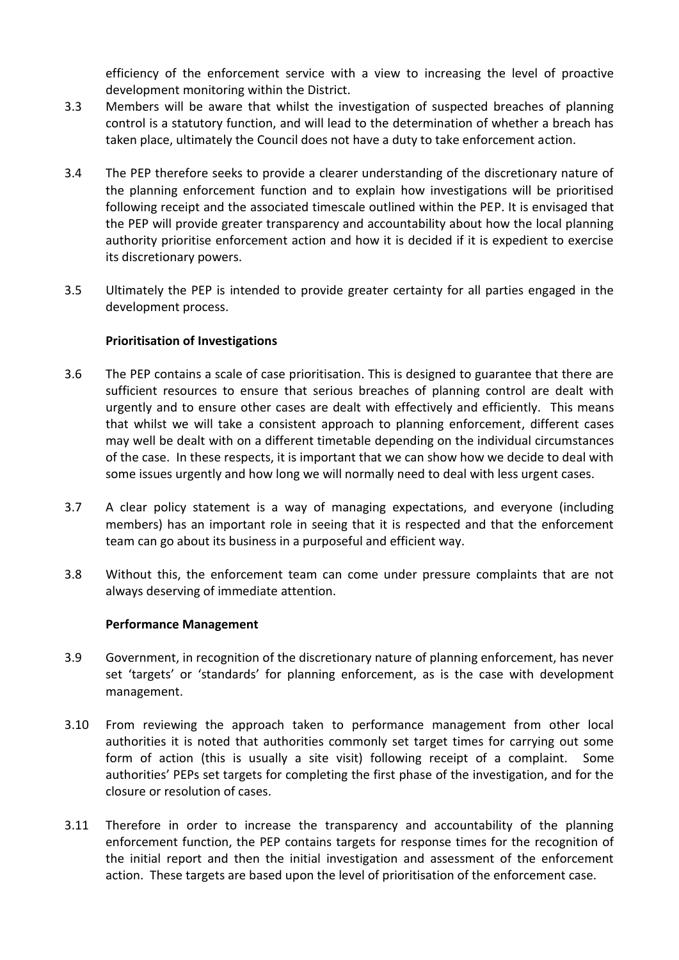efficiency of the enforcement service with a view to increasing the level of proactive development monitoring within the District.

- 3.3 Members will be aware that whilst the investigation of suspected breaches of planning control is a statutory function, and will lead to the determination of whether a breach has taken place, ultimately the Council does not have a duty to take enforcement action.
- 3.4 The PEP therefore seeks to provide a clearer understanding of the discretionary nature of the planning enforcement function and to explain how investigations will be prioritised following receipt and the associated timescale outlined within the PEP. It is envisaged that the PEP will provide greater transparency and accountability about how the local planning authority prioritise enforcement action and how it is decided if it is expedient to exercise its discretionary powers.
- 3.5 Ultimately the PEP is intended to provide greater certainty for all parties engaged in the development process.

## **Prioritisation of Investigations**

- 3.6 The PEP contains a scale of case prioritisation. This is designed to guarantee that there are sufficient resources to ensure that serious breaches of planning control are dealt with urgently and to ensure other cases are dealt with effectively and efficiently. This means that whilst we will take a consistent approach to planning enforcement, different cases may well be dealt with on a different timetable depending on the individual circumstances of the case. In these respects, it is important that we can show how we decide to deal with some issues urgently and how long we will normally need to deal with less urgent cases.
- 3.7 A clear policy statement is a way of managing expectations, and everyone (including members) has an important role in seeing that it is respected and that the enforcement team can go about its business in a purposeful and efficient way.
- 3.8 Without this, the enforcement team can come under pressure complaints that are not always deserving of immediate attention.

### **Performance Management**

- 3.9 Government, in recognition of the discretionary nature of planning enforcement, has never set 'targets' or 'standards' for planning enforcement, as is the case with development management.
- 3.10 From reviewing the approach taken to performance management from other local authorities it is noted that authorities commonly set target times for carrying out some form of action (this is usually a site visit) following receipt of a complaint. Some authorities' PEPs set targets for completing the first phase of the investigation, and for the closure or resolution of cases.
- 3.11 Therefore in order to increase the transparency and accountability of the planning enforcement function, the PEP contains targets for response times for the recognition of the initial report and then the initial investigation and assessment of the enforcement action. These targets are based upon the level of prioritisation of the enforcement case.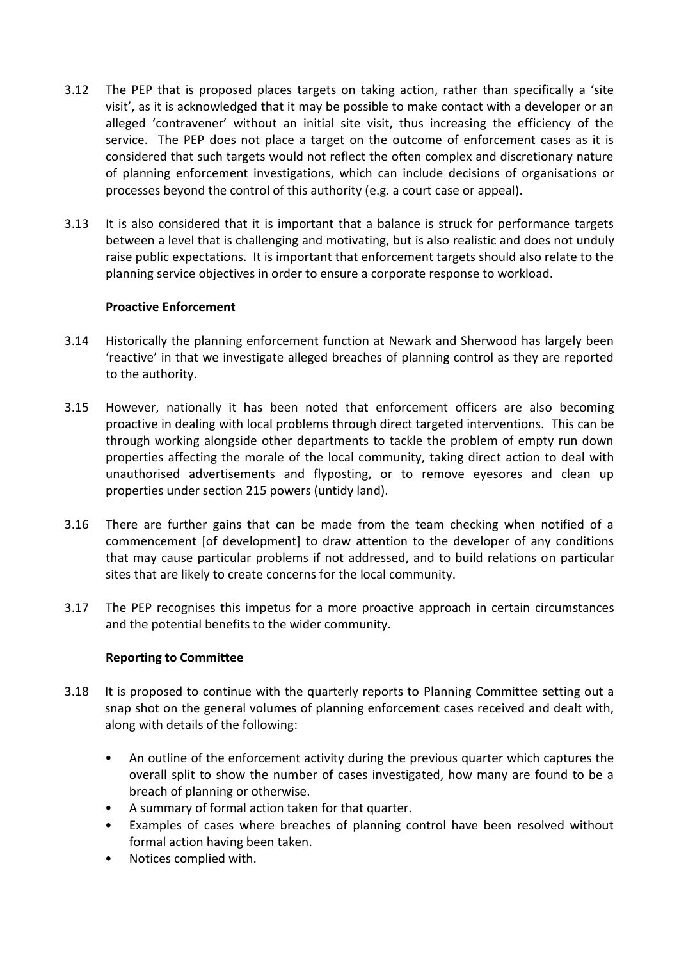- 3.12 The PEP that is proposed places targets on taking action, rather than specifically a 'site visit', as it is acknowledged that it may be possible to make contact with a developer or an alleged 'contravener' without an initial site visit, thus increasing the efficiency of the service. The PEP does not place a target on the outcome of enforcement cases as it is considered that such targets would not reflect the often complex and discretionary nature of planning enforcement investigations, which can include decisions of organisations or processes beyond the control of this authority (e.g. a court case or appeal).
- 3.13 It is also considered that it is important that a balance is struck for performance targets between a level that is challenging and motivating, but is also realistic and does not unduly raise public expectations. It is important that enforcement targets should also relate to the planning service objectives in order to ensure a corporate response to workload.

## **Proactive Enforcement**

- 3.14 Historically the planning enforcement function at Newark and Sherwood has largely been 'reactive' in that we investigate alleged breaches of planning control as they are reported to the authority.
- 3.15 However, nationally it has been noted that enforcement officers are also becoming proactive in dealing with local problems through direct targeted interventions. This can be through working alongside other departments to tackle the problem of empty run down properties affecting the morale of the local community, taking direct action to deal with unauthorised advertisements and flyposting, or to remove eyesores and clean up properties under section 215 powers (untidy land).
- 3.16 There are further gains that can be made from the team checking when notified of a commencement [of development] to draw attention to the developer of any conditions that may cause particular problems if not addressed, and to build relations on particular sites that are likely to create concerns for the local community.
- 3.17 The PEP recognises this impetus for a more proactive approach in certain circumstances and the potential benefits to the wider community.

# **Reporting to Committee**

- 3.18 It is proposed to continue with the quarterly reports to Planning Committee setting out a snap shot on the general volumes of planning enforcement cases received and dealt with, along with details of the following:
	- An outline of the enforcement activity during the previous quarter which captures the overall split to show the number of cases investigated, how many are found to be a breach of planning or otherwise.
	- A summary of formal action taken for that quarter.
	- Examples of cases where breaches of planning control have been resolved without formal action having been taken.
	- Notices complied with.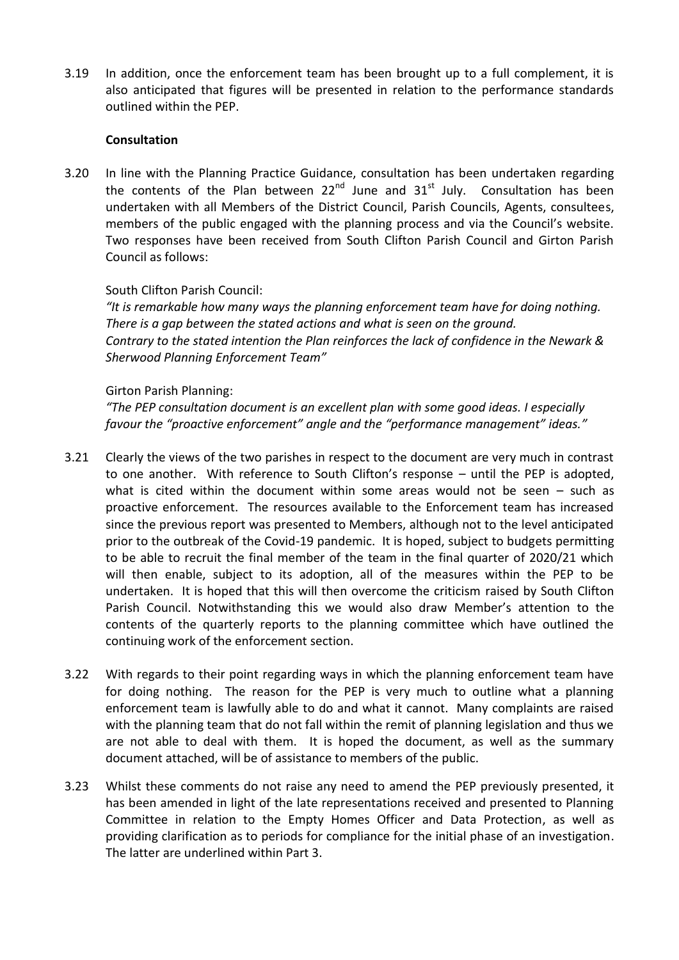3.19 In addition, once the enforcement team has been brought up to a full complement, it is also anticipated that figures will be presented in relation to the performance standards outlined within the PEP.

### **Consultation**

3.20 In line with the Planning Practice Guidance, consultation has been undertaken regarding the contents of the Plan between  $22^{nd}$  June and  $31^{st}$  July. Consultation has been undertaken with all Members of the District Council, Parish Councils, Agents, consultees, members of the public engaged with the planning process and via the Council's website. Two responses have been received from South Clifton Parish Council and Girton Parish Council as follows:

### South Clifton Parish Council:

*"It is remarkable how many ways the planning enforcement team have for doing nothing. There is a gap between the stated actions and what is seen on the ground. Contrary to the stated intention the Plan reinforces the lack of confidence in the Newark & Sherwood Planning Enforcement Team"*

#### Girton Parish Planning:

*"The PEP consultation document is an excellent plan with some good ideas. I especially favour the "proactive enforcement" angle and the "performance management" ideas."*

- 3.21 Clearly the views of the two parishes in respect to the document are very much in contrast to one another. With reference to South Clifton's response – until the PEP is adopted, what is cited within the document within some areas would not be seen – such as proactive enforcement. The resources available to the Enforcement team has increased since the previous report was presented to Members, although not to the level anticipated prior to the outbreak of the Covid-19 pandemic. It is hoped, subject to budgets permitting to be able to recruit the final member of the team in the final quarter of 2020/21 which will then enable, subject to its adoption, all of the measures within the PEP to be undertaken. It is hoped that this will then overcome the criticism raised by South Clifton Parish Council. Notwithstanding this we would also draw Member's attention to the contents of the quarterly reports to the planning committee which have outlined the continuing work of the enforcement section.
- 3.22 With regards to their point regarding ways in which the planning enforcement team have for doing nothing. The reason for the PEP is very much to outline what a planning enforcement team is lawfully able to do and what it cannot. Many complaints are raised with the planning team that do not fall within the remit of planning legislation and thus we are not able to deal with them. It is hoped the document, as well as the summary document attached, will be of assistance to members of the public.
- 3.23 Whilst these comments do not raise any need to amend the PEP previously presented, it has been amended in light of the late representations received and presented to Planning Committee in relation to the Empty Homes Officer and Data Protection, as well as providing clarification as to periods for compliance for the initial phase of an investigation. The latter are underlined within Part 3.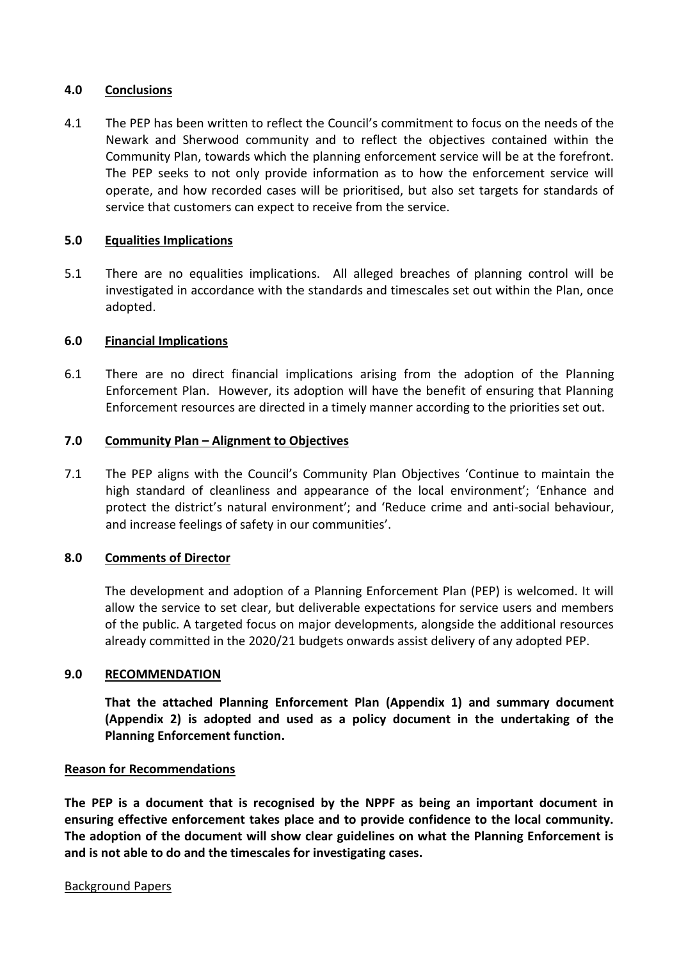### **4.0 Conclusions**

4.1 The PEP has been written to reflect the Council's commitment to focus on the needs of the Newark and Sherwood community and to reflect the objectives contained within the Community Plan, towards which the planning enforcement service will be at the forefront. The PEP seeks to not only provide information as to how the enforcement service will operate, and how recorded cases will be prioritised, but also set targets for standards of service that customers can expect to receive from the service.

## **5.0 Equalities Implications**

5.1 There are no equalities implications. All alleged breaches of planning control will be investigated in accordance with the standards and timescales set out within the Plan, once adopted.

## **6.0 Financial Implications**

6.1 There are no direct financial implications arising from the adoption of the Planning Enforcement Plan. However, its adoption will have the benefit of ensuring that Planning Enforcement resources are directed in a timely manner according to the priorities set out.

### **7.0 Community Plan – Alignment to Objectives**

7.1 The PEP aligns with the Council's Community Plan Objectives 'Continue to maintain the high standard of cleanliness and appearance of the local environment'; 'Enhance and protect the district's natural environment'; and 'Reduce crime and anti-social behaviour, and increase feelings of safety in our communities'.

# **8.0 Comments of Director**

The development and adoption of a Planning Enforcement Plan (PEP) is welcomed. It will allow the service to set clear, but deliverable expectations for service users and members of the public. A targeted focus on major developments, alongside the additional resources already committed in the 2020/21 budgets onwards assist delivery of any adopted PEP.

### **9.0 RECOMMENDATION**

**That the attached Planning Enforcement Plan (Appendix 1) and summary document (Appendix 2) is adopted and used as a policy document in the undertaking of the Planning Enforcement function.**

### **Reason for Recommendations**

**The PEP is a document that is recognised by the NPPF as being an important document in ensuring effective enforcement takes place and to provide confidence to the local community. The adoption of the document will show clear guidelines on what the Planning Enforcement is and is not able to do and the timescales for investigating cases.**

#### Background Papers